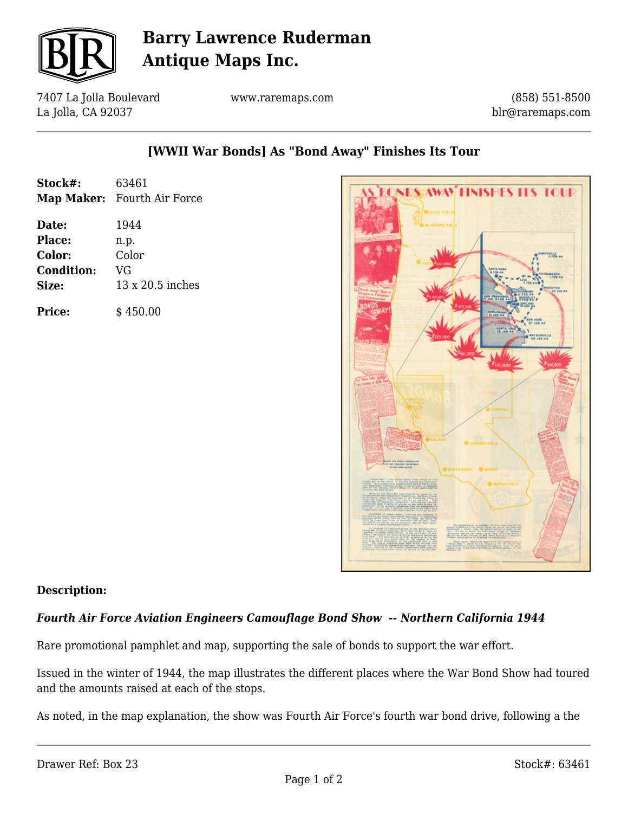

# **Barry Lawrence Ruderman Antique Maps Inc.**

7407 La Jolla Boulevard La Jolla, CA 92037

www.raremaps.com

(858) 551-8500 blr@raremaps.com

### **[WWII War Bonds] As "Bond Away" Finishes Its Tour**

| Stock#: | 63461                       |
|---------|-----------------------------|
|         | Map Maker: Fourth Air Force |

**Date:** 1944 **Place:** n.p. **Color:** Color **Condition:** VG **Size:** 13 x 20.5 inches

**Price:**  $\qquad$  \$450.00



#### **Description:**

#### *Fourth Air Force Aviation Engineers Camouflage Bond Show -- Northern California 1944*

Rare promotional pamphlet and map, supporting the sale of bonds to support the war effort.

Issued in the winter of 1944, the map illustrates the different places where the War Bond Show had toured and the amounts raised at each of the stops.

As noted, in the map explanation, the show was Fourth Air Force's fourth war bond drive, following a the